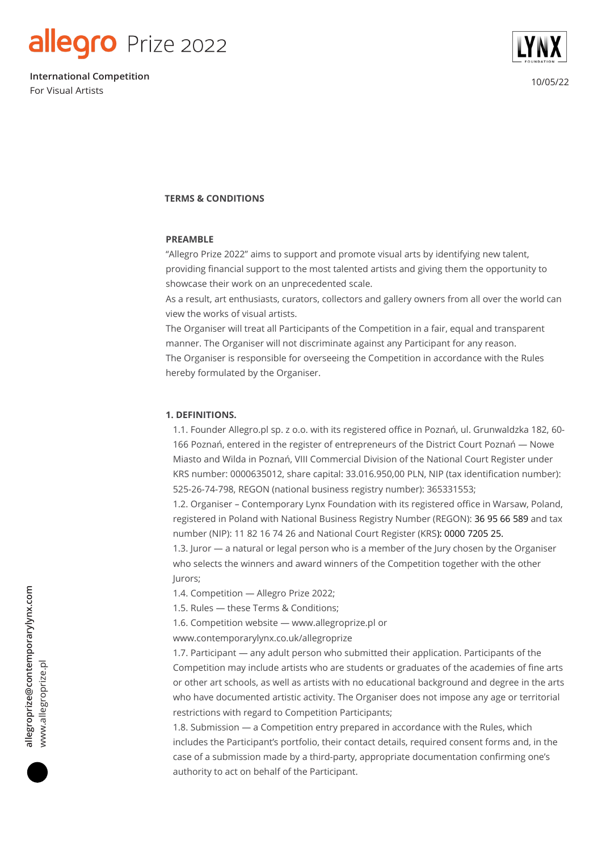

10/05/22 **International Competition** For Visual Artists



#### **TERMS & CONDITIONS**

#### **PREAMBLE**

"Allegro Prize 2022" aims to support and promote visual arts by identifying new talent, providing financial support to the most talented artists and giving them the opportunity to showcase their work on an unprecedented scale.

As a result, art enthusiasts, curators, collectors and gallery owners from all over the world can view the works of visual artists.

The Organiser will treat all Participants of the Competition in a fair, equal and transparent manner. The Organiser will not discriminate against any Participant for any reason. The Organiser is responsible for overseeing the Competition in accordance with the Rules hereby formulated by the Organiser.

#### **1. DEFINITIONS.**

1.1. Founder Allegro.pl sp. z o.o. with its registered office in Poznań, ul. Grunwaldzka 182, 60- 166 Poznań, entered in the register of entrepreneurs of the District Court Poznań — Nowe Miasto and Wilda in Poznań, VIII Commercial Division of the National Court Register under KRS number: 0000635012, share capital: 33.016.950,00 PLN, NIP (tax identification number): 525-26-74-798, REGON (national business registry number): 365331553;

1.2. Organiser – Contemporary Lynx Foundation with its registered office in Warsaw, Poland, registered in Poland with National Business Registry Number (REGON): 36 95 66 589 and tax number (NIP): 11 82 16 74 26 and National Court Register (KRS): 0000 7205 25.

1.3. Juror — a natural or legal person who is a member of the Jury chosen by the Organiser who selects the winners and award winners of the Competition together with the other Jurors;

1.4. Competition — Allegro Prize 2022;

1.5. Rules — these Terms & Conditions;

1.6. Competition website — www.allegroprize.pl or

www.contemporarylynx.co.uk/allegroprize

1.7. Participant — any adult person who submitted their application. Participants of the Competition may include artists who are students or graduates of the academies of fine arts or other art schools, as well as artists with no educational background and degree in the arts who have documented artistic activity. The Organiser does not impose any age or territorial restrictions with regard to Competition Participants;

1.8. Submission — a Competition entry prepared in accordance with the Rules, which includes the Participant's portfolio, their contact details, required consent forms and, in the case of a submission made by a third-party, appropriate documentation confirming one's authority to act on behalf of the Participant.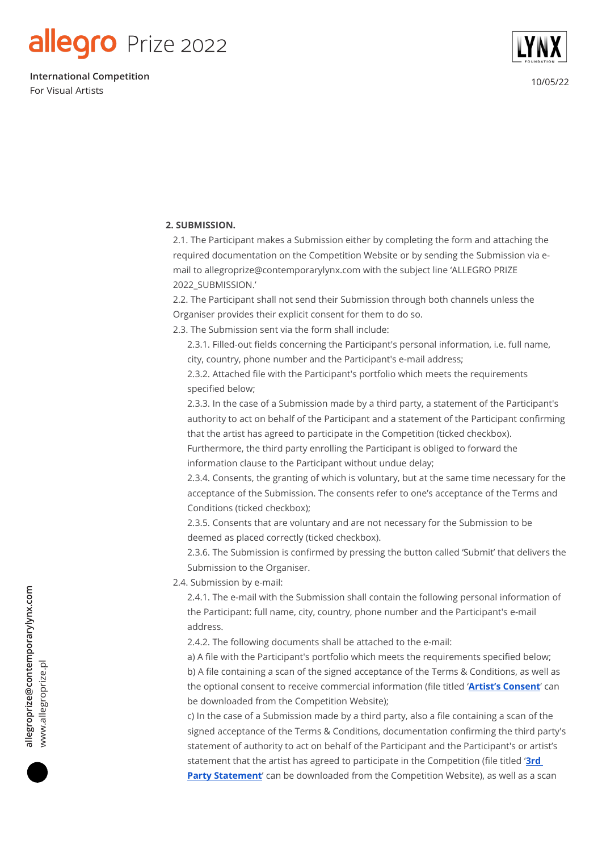10/05/22 **International Competition** For Visual Artists



### **2. SUBMISSION.**

2.1. The Participant makes a Submission either by completing the form and attaching the required documentation on the Competition Website or by sending the Submission via email to allegroprize@contemporarylynx.com with the subject line 'ALLEGRO PRIZE 2022\_SUBMISSION.'

2.2. The Participant shall not send their Submission through both channels unless the Organiser provides their explicit consent for them to do so.

2.3. The Submission sent via the form shall include:

2.3.1. Filled-out fields concerning the Participant's personal information, i.e. full name, city, country, phone number and the Participant's e-mail address;

2.3.2. Attached file with the Participant's portfolio which meets the requirements specified below;

2.3.3. In the case of a Submission made by a third party, a statement of the Participant's authority to act on behalf of the Participant and a statement of the Participant confirming that the artist has agreed to participate in the Competition (ticked checkbox).

Furthermore, the third party enrolling the Participant is obliged to forward the information clause to the Participant without undue delay;

2.3.4. Consents, the granting of which is voluntary, but at the same time necessary for the acceptance of the Submission. The consents refer to one's acceptance of the Terms and Conditions (ticked checkbox);

2.3.5. Consents that are voluntary and are not necessary for the Submission to be deemed as placed correctly (ticked checkbox).

2.3.6. The Submission is confirmed by pressing the button called 'Submit' that delivers the Submission to the Organiser.

2.4. Submission by e-mail:

2.4.1. The e-mail with the Submission shall contain the following personal information of the Participant: full name, city, country, phone number and the Participant's e-mail address.

2.4.2. The following documents shall be attached to the e-mail:

a) A file with the Participant's portfolio which meets the requirements specified below; b) A file containing a scan of the signed acceptance of the Terms & Conditions, as well as the optional consent to receive commercial information (file titled '**[Artist's Consent](https://contemporarylynx.co.uk/wp-content/uploads/2022/05/Artists-Consent-1.pdf)**' can be downloaded from the Competition Website);

c) In the case of a Submission made by a third party, also a file containing a scan of the signed acceptance of the Terms & Conditions, documentation confirming the third party's statement of authority to act on behalf of the Participant and the Participant's or artist's statement that the artist has agreed to participate in the Competition (file titled ' **[3rd](https://contemporarylynx.co.uk/wp-content/uploads/2022/05/3rd-Party-Statement-2.pdf)** [Party Statement](https://contemporarylynx.co.uk/wp-content/uploads/2022/05/3rd-Party-Statement-2.pdf)' can be downloaded from the Competition Website), as well as a scan

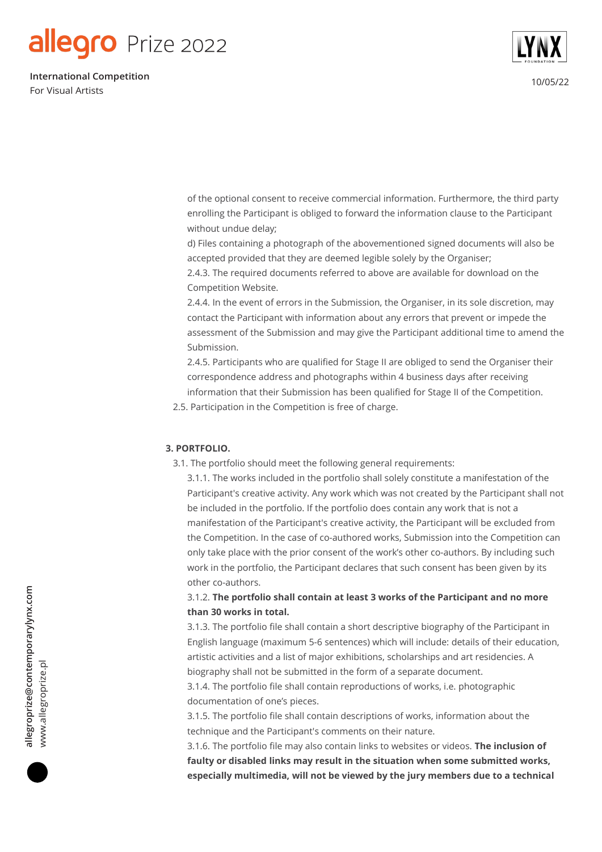10/05/22 **International Competition** For Visual Artists



of the optional consent to receive commercial information. Furthermore, the third party enrolling the Participant is obliged to forward the information clause to the Participant without undue delay;

d) Files containing a photograph of the abovementioned signed documents will also be accepted provided that they are deemed legible solely by the Organiser;

2.4.3. The required documents referred to above are available for download on the Competition Website.

2.4.4. In the event of errors in the Submission, the Organiser, in its sole discretion, may contact the Participant with information about any errors that prevent or impede the assessment of the Submission and may give the Participant additional time to amend the Submission.

2.4.5. Participants who are qualified for Stage II are obliged to send the Organiser their correspondence address and photographs within 4 business days after receiving information that their Submission has been qualified for Stage II of the Competition.

2.5. Participation in the Competition is free of charge.

#### **3. PORTFOLIO.**

3.1. The portfolio should meet the following general requirements:

3.1.1. The works included in the portfolio shall solely constitute a manifestation of the Participant's creative activity. Any work which was not created by the Participant shall not be included in the portfolio. If the portfolio does contain any work that is not a manifestation of the Participant's creative activity, the Participant will be excluded from the Competition. In the case of co-authored works, Submission into the Competition can only take place with the prior consent of the work's other co-authors. By including such work in the portfolio, the Participant declares that such consent has been given by its other co-authors.

3.1.2. **The portfolio shall contain at least 3 works of the Participant and no more than 30 works in total.**

3.1.3. The portfolio file shall contain a short descriptive biography of the Participant in English language (maximum 5-6 sentences) which will include: details of their education, artistic activities and a list of major exhibitions, scholarships and art residencies. A biography shall not be submitted in the form of a separate document.

3.1.4. The portfolio file shall contain reproductions of works, i.e. photographic documentation of one's pieces.

3.1.5. The portfolio file shall contain descriptions of works, information about the technique and the Participant's comments on their nature.

3.1.6. The portfolio file may also contain links to websites or videos. **The inclusion of faulty or disabled links may result in the situation when some submitted works, especially multimedia, will not be viewed by the jury members due to a technical**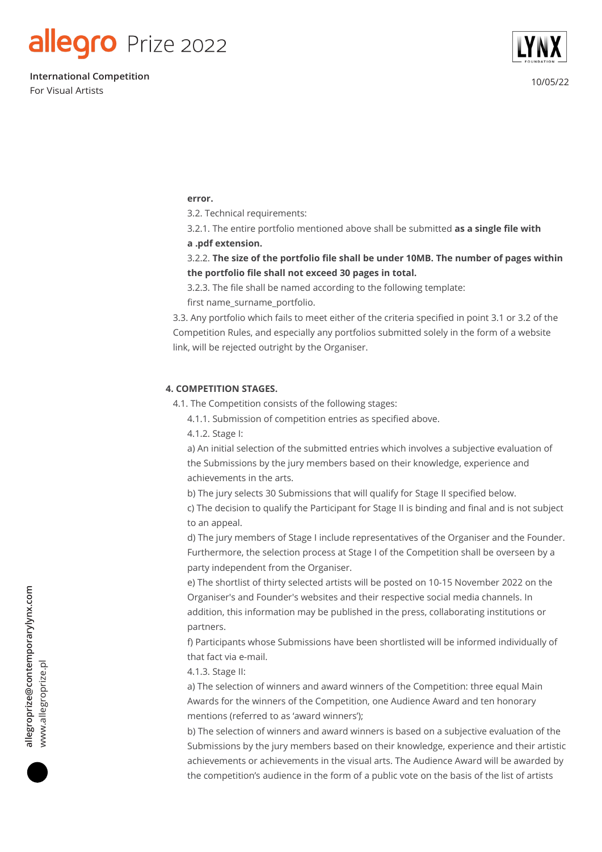10/05/22 **International Competition** For Visual Artists



#### **error.**

3.2. Technical requirements:

3.2.1. The entire portfolio mentioned above shall be submitted **as a single file with a .pdf extension.**

3.2.2. **The size of the portfolio file shall be under 10MB. The number of pages within the portfolio file shall not exceed 30 pages in total.**

3.2.3. The file shall be named according to the following template:

first name\_surname\_portfolio.

3.3. Any portfolio which fails to meet either of the criteria specified in point 3.1 or 3.2 of the Competition Rules, and especially any portfolios submitted solely in the form of a website link, will be rejected outright by the Organiser.

#### **4. COMPETITION STAGES.**

- 4.1. The Competition consists of the following stages:
	- 4.1.1. Submission of competition entries as specified above.
	- 4.1.2. Stage I:

a) An initial selection of the submitted entries which involves a subjective evaluation of the Submissions by the jury members based on their knowledge, experience and achievements in the arts.

b) The jury selects 30 Submissions that will qualify for Stage II specified below.

c) The decision to qualify the Participant for Stage II is binding and final and is not subject to an appeal.

d) The jury members of Stage I include representatives of the Organiser and the Founder. Furthermore, the selection process at Stage I of the Competition shall be overseen by a party independent from the Organiser.

e) The shortlist of thirty selected artists will be posted on 10-15 November 2022 on the Organiser's and Founder's websites and their respective social media channels. In addition, this information may be published in the press, collaborating institutions or partners.

f) Participants whose Submissions have been shortlisted will be informed individually of that fact via e-mail.

4.1.3. Stage II:

a) The selection of winners and award winners of the Competition: three equal Main Awards for the winners of the Competition, one Audience Award and ten honorary mentions (referred to as 'award winners');

b) The selection of winners and award winners is based on a subjective evaluation of the Submissions by the jury members based on their knowledge, experience and their artistic achievements or achievements in the visual arts. The Audience Award will be awarded by the competition's audience in the form of a public vote on the basis of the list of artists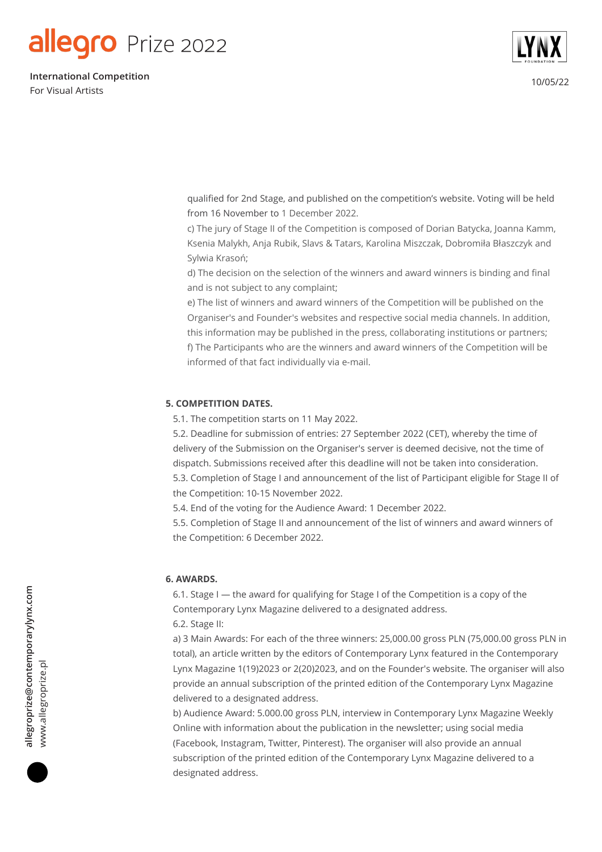10/05/22 **International Competition** For Visual Artists



qualified for 2nd Stage, and published on the competition's website. Voting will be held from 16 November to 1 December 2022.

c) The jury of Stage II of the Competition is composed of Dorian Batycka, Joanna Kamm, Ksenia Malykh, Anja Rubik, Slavs & Tatars, Karolina Miszczak, Dobromiła Błaszczyk and Sylwia Krasoń;

d) The decision on the selection of the winners and award winners is binding and final and is not subject to any complaint;

e) The list of winners and award winners of the Competition will be published on the Organiser's and Founder's websites and respective social media channels. In addition, this information may be published in the press, collaborating institutions or partners; f) The Participants who are the winners and award winners of the Competition will be informed of that fact individually via e-mail.

#### **5. COMPETITION DATES.**

5.1. The competition starts on 11 May 2022.

5.2. Deadline for submission of entries: 27 September 2022 (CET), whereby the time of delivery of the Submission on the Organiser's server is deemed decisive, not the time of dispatch. Submissions received after this deadline will not be taken into consideration. 5.3. Completion of Stage I and announcement of the list of Participant eligible for Stage II of the Competition: 10-15 November 2022.

5.4. End of the voting for the Audience Award: 1 December 2022.

5.5. Completion of Stage II and announcement of the list of winners and award winners of the Competition: 6 December 2022.

#### **6. AWARDS.**

6.1. Stage I — the award for qualifying for Stage I of the Competition is a copy of the Contemporary Lynx Magazine delivered to a designated address. 6.2. Stage II:

a) 3 Main Awards: For each of the three winners: 25,000.00 gross PLN (75,000.00 gross PLN in total), an article written by the editors of Contemporary Lynx featured in the Contemporary Lynx Magazine 1(19)2023 or 2(20)2023, and on the Founder's website. The organiser will also provide an annual subscription of the printed edition of the Contemporary Lynx Magazine delivered to a designated address.

b) Audience Award: 5.000.00 gross PLN, interview in Contemporary Lynx Magazine Weekly Online with information about the publication in the newsletter; using social media (Facebook, Instagram, Twitter, Pinterest). The organiser will also provide an annual subscription of the printed edition of the Contemporary Lynx Magazine delivered to a designated address.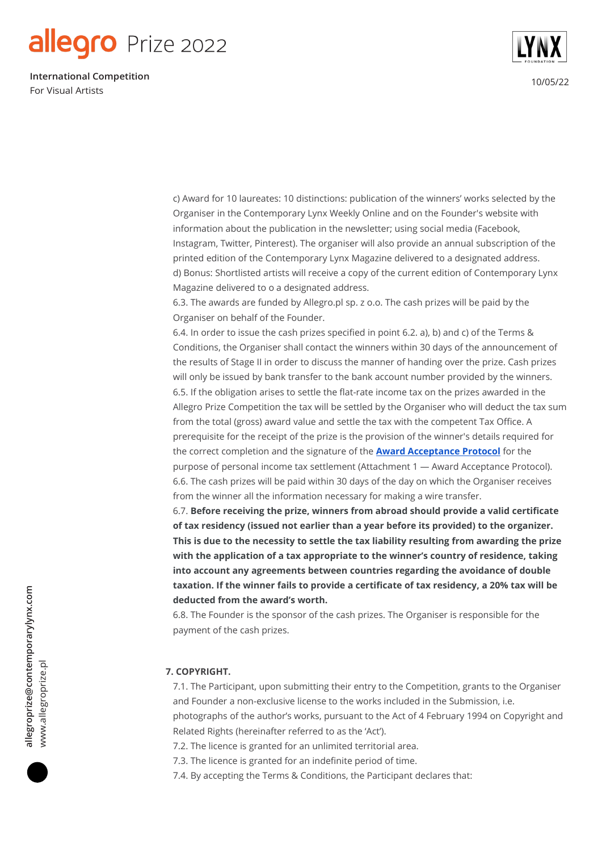10/05/22 **International Competition** For Visual Artists



c) Award for 10 laureates: 10 distinctions: publication of the winners' works selected by the Organiser in the Contemporary Lynx Weekly Online and on the Founder's website with information about the publication in the newsletter; using social media (Facebook, Instagram, Twitter, Pinterest). The organiser will also provide an annual subscription of the printed edition of the Contemporary Lynx Magazine delivered to a designated address. d) Bonus: Shortlisted artists will receive a copy of the current edition of Contemporary Lynx Magazine delivered to o a designated address.

6.3. The awards are funded by Allegro.pl sp. z o.o. The cash prizes will be paid by the Organiser on behalf of the Founder.

6.4. In order to issue the cash prizes specified in point 6.2. a), b) and c) of the Terms & Conditions, the Organiser shall contact the winners within 30 days of the announcement of the results of Stage II in order to discuss the manner of handing over the prize. Cash prizes will only be issued by bank transfer to the bank account number provided by the winners. 6.5. If the obligation arises to settle the flat-rate income tax on the prizes awarded in the Allegro Prize Competition the tax will be settled by the Organiser who will deduct the tax sum from the total (gross) award value and settle the tax with the competent Tax Office. A prerequisite for the receipt of the prize is the provision of the winner's details required for the correct completion and the signature of the **[Award Acceptance Protocol](https://contemporarylynx.co.uk/wp-content/uploads/2022/05/ATTACHMENT-3_AWARD-ACCEPTANCE-REPORT.pdf)** for the purpose of personal income tax settlement (Attachment 1 — Award Acceptance Protocol). 6.6. The cash prizes will be paid within 30 days of the day on which the Organiser receives from the winner all the information necessary for making a wire transfer.

6.7. **Before receiving the prize, winners from abroad should provide a valid certificate of tax residency (issued not earlier than a year before its provided) to the organizer. This is due to the necessity to settle the tax liability resulting from awarding the prize with the application of a tax appropriate to the winner's country of residence, taking into account any agreements between countries regarding the avoidance of double taxation. If the winner fails to provide a certificate of tax residency, a 20% tax will be deducted from the award's worth.**

6.8. The Founder is the sponsor of the cash prizes. The Organiser is responsible for the payment of the cash prizes.

### **7. COPYRIGHT.**

7.1. The Participant, upon submitting their entry to the Competition, grants to the Organiser and Founder a non-exclusive license to the works included in the Submission, i.e. photographs of the author's works, pursuant to the Act of 4 February 1994 on Copyright and Related Rights (hereinafter referred to as the 'Act').

7.2. The licence is granted for an unlimited territorial area.

7.3. The licence is granted for an indefinite period of time.

7.4. By accepting the Terms & Conditions, the Participant declares that: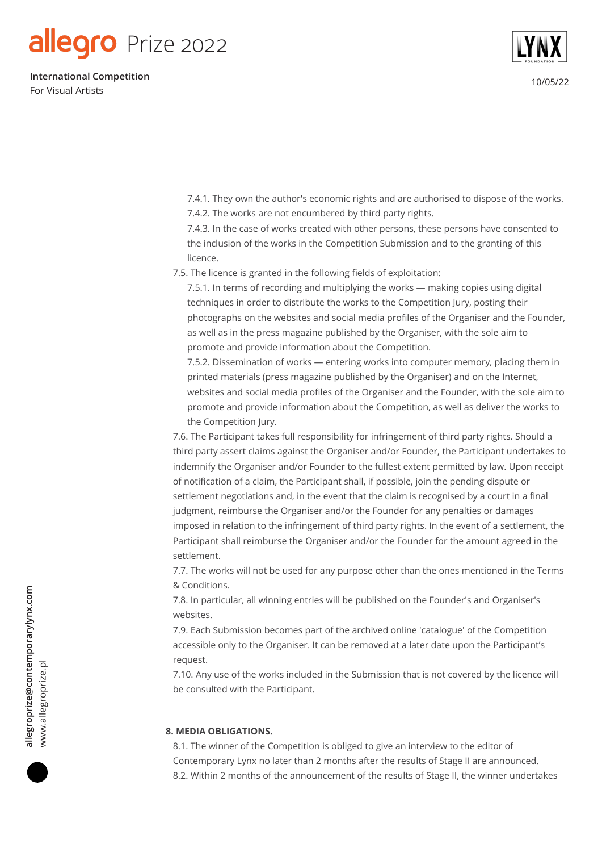10/05/22 **International Competition** For Visual Artists



7.4.1. They own the author's economic rights and are authorised to dispose of the works. 7.4.2. The works are not encumbered by third party rights.

7.4.3. In the case of works created with other persons, these persons have consented to the inclusion of the works in the Competition Submission and to the granting of this licence.

7.5. The licence is granted in the following fields of exploitation:

7.5.1. In terms of recording and multiplying the works — making copies using digital techniques in order to distribute the works to the Competition Jury, posting their photographs on the websites and social media profiles of the Organiser and the Founder, as well as in the press magazine published by the Organiser, with the sole aim to promote and provide information about the Competition.

7.5.2. Dissemination of works — entering works into computer memory, placing them in printed materials (press magazine published by the Organiser) and on the Internet, websites and social media profiles of the Organiser and the Founder, with the sole aim to promote and provide information about the Competition, as well as deliver the works to the Competition Jury.

7.6. The Participant takes full responsibility for infringement of third party rights. Should a third party assert claims against the Organiser and/or Founder, the Participant undertakes to indemnify the Organiser and/or Founder to the fullest extent permitted by law. Upon receipt of notification of a claim, the Participant shall, if possible, join the pending dispute or settlement negotiations and, in the event that the claim is recognised by a court in a final judgment, reimburse the Organiser and/or the Founder for any penalties or damages imposed in relation to the infringement of third party rights. In the event of a settlement, the Participant shall reimburse the Organiser and/or the Founder for the amount agreed in the settlement.

7.7. The works will not be used for any purpose other than the ones mentioned in the Terms & Conditions.

7.8. In particular, all winning entries will be published on the Founder's and Organiser's websites.

7.9. Each Submission becomes part of the archived online 'catalogue' of the Competition accessible only to the Organiser. It can be removed at a later date upon the Participant's request.

7.10. Any use of the works included in the Submission that is not covered by the licence will be consulted with the Participant.

#### **8. MEDIA OBLIGATIONS.**

8.1. The winner of the Competition is obliged to give an interview to the editor of Contemporary Lynx no later than 2 months after the results of Stage II are announced. 8.2. Within 2 months of the announcement of the results of Stage II, the winner undertakes